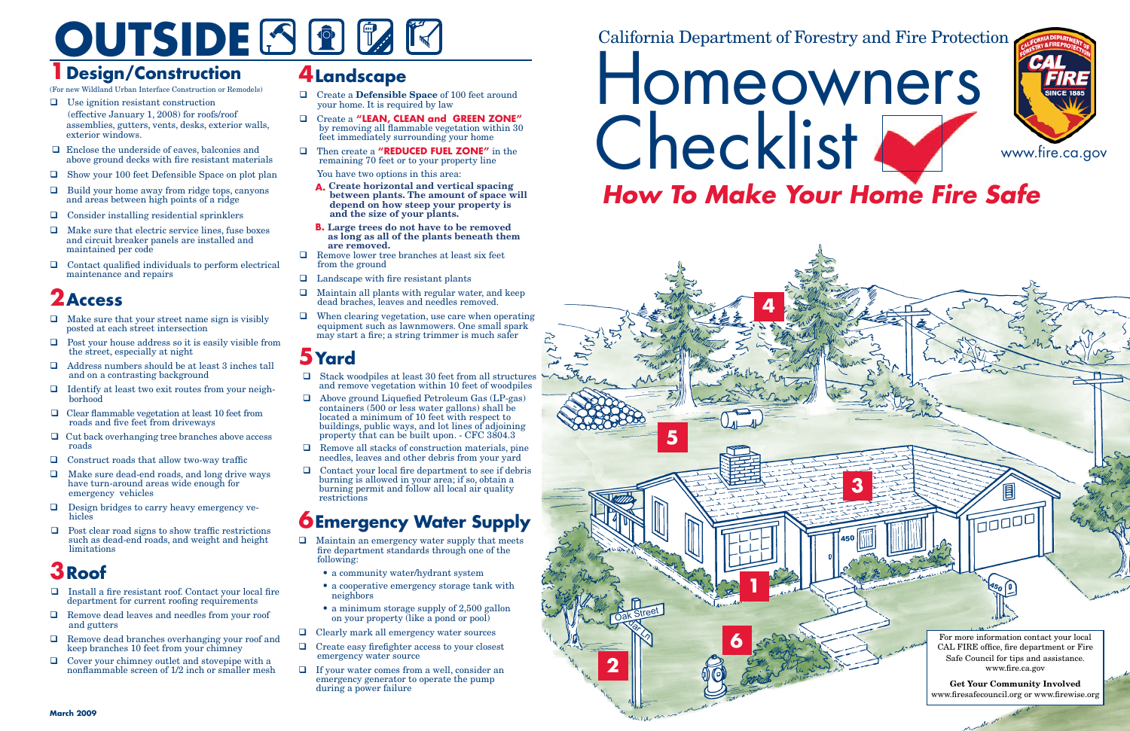#### California Department of Forestry and Fire Protection



# OUTSIDE SER E

## **1Design/Construction**

(For new Wildland Urban Interface Construction or Remodels)

- $\Box$  Use ignition resistant construction (effective January 1, 2008) for roofs/roof assemblies, gutters, vents, desks, exterior walls, exterior windows.
- $\Box$  Enclose the underside of eaves, balconies and above ground decks with fire resistant materials
- $\Box$  Show your 100 feet Defensible Space on plot plan
- $\Box$  Build your home away from ridge tops, canyons and areas between high points of a ridge
- $\Box$  Consider installing residential sprinklers
- $\Box$  Make sure that electric service lines, fuse boxes and circuit breaker panels are installed and maintained per code
- $\Box$  Contact qualified individuals to perform electrical maintenance and repairs

- $\Box$  Make sure that your street name sign is visibly posted at each street intersection
- $\Box$  Post your house address so it is easily visible from the street, especially at night
- $\Box$  Address numbers should be at least 3 inches tall and on a contrasting background
- $\Box$  Identify at least two exit routes from your neighborhood
- $\Box$  Clear flammable vegetation at least 10 feet from roads and five feet from driveways
- $\Box$  Cut back overhanging tree branches above access roads
- $\Box$  Construct roads that allow two-way traffic
- $\Box$  Make sure dead-end roads, and long drive ways have turn-around areas wide enough for emergency vehicles
- $\Box$  Design bridges to carry heavy emergency vehicles
- $\Box$  Post clear road signs to show traffic restrictions such as dead-end roads, and weight and height limitations

## **2Access**

- $\Box$  Install a fire resistant roof. Contact your local fire department for current roofing requirements
- $\Box$  Remove dead leaves and needles from your roof and gutters
- $\Box$  Remove dead branches overhanging your roof and keep branches 10 feet from your chimney
- $\Box$  Cover your chimney outlet and stovepipe with a nonflammable screen of 1/2 inch or smaller mesh

# Homeowners Checklist N *How To Make Your Home Fire Safe*

- □ Create a **Defensible Space** of 100 feet around your home. It is required by law
- q Create a **"LEAN, CLEAN and GREEN ZONE"**  by removing all flammable vegetation within 30 feet immediately surrounding your home
- q Then create a **"REDUCED FUEL ZONE"** in the remaining 70 feet or to your property line

- A. Create horizontal and vertical spacing between plants. The amount of space will **depend on how steep your property is and the size of your plants.**
- **B. Large trees do not have to be removed as long as all of the plants beneath them are removed.**
- $\Box$  Remove lower tree branches at least six feet from the ground
- $\Box$  Landscape with fire resistant plants
- $\Box$  Maintain all plants with regular water, and keep dead braches, leaves and needles removed.
- $\Box$  When clearing vegetation, use care when operating equipment such as lawnmowers. One small spark may start a fire; a string trimmer is much safer

## **3Roof**

- $\Box$  Stack woodpiles at least 30 feet from all structures and remove vegetation within 10 feet of woodpiles
- $\Box$  Above ground Liquefied Petroleum Gas (LP-gas) containers (500 or less water gallons) shall be located a minimum of 10 feet with respect to buildings, public ways, and lot lines of adjoining property that can be built upon. - CFC 3804.3
- $\hfill\Box\quad$  Remove all stacks of construction materials, pine needles, leaves and other debris from your yard
- $\Box$  Contact your local fire department to see if debris burning is allowed in your area; if so, obtain a burning permit and follow all local air quality restrictions

- $\hfill\Box\quad$  Maintain an emergency water supply that meets fire department standards through one of the following:
	- a community water/hydrant system
	- a cooperative emergency storage tank with neighbors
	- • a minimum storage supply of 2,500 gallon on your property (like a pond or pool)
- $\Box$  Clearly mark all emergency water sources
- $\Box$  Create easy firefighter access to your closest emergency water source
- <sup>q</sup>If your water comes from a well, consider an emergency generator to operate the pump during a power failure

450

 $\overline{\overline{\mathsf{CDDD}}}$ 

### **4Landscape**

You have two options in this area:

### **5Yard**

### **6Emergency Water Supply**

450



**3**



**Get Your Community Involved**  www.firesafecouncil.org or www.firewise.org